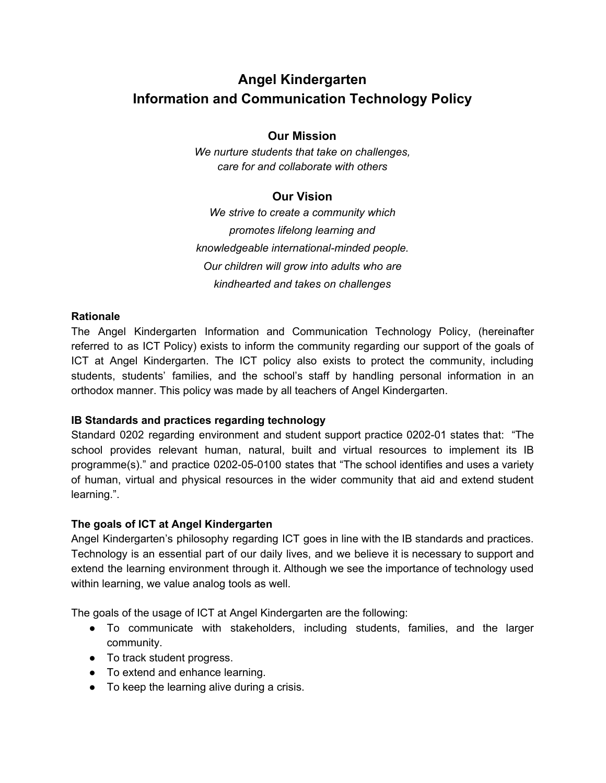# **Angel Kindergarten Information and Communication Technology Policy**

# **Our Mission**

*We nurture students that take on challenges, care for and collaborate with others*

# **Our Vision**

*We strive to create a community which promotes lifelong learning and knowledgeable international-minded people. Our children will grow into adults who are kindhearted and takes on challenges*

# **Rationale**

The Angel Kindergarten Information and Communication Technology Policy, (hereinafter referred to as ICT Policy) exists to inform the community regarding our support of the goals of ICT at Angel Kindergarten. The ICT policy also exists to protect the community, including students, students' families, and the school's staff by handling personal information in an orthodox manner. This policy was made by all teachers of Angel Kindergarten.

# **IB Standards and practices regarding technology**

Standard 0202 regarding environment and student support practice 0202-01 states that: "The school provides relevant human, natural, built and virtual resources to implement its IB programme(s)." and practice 0202-05-0100 states that "The school identifies and uses a variety of human, virtual and physical resources in the wider community that aid and extend student learning.".

# **The goals of ICT at Angel Kindergarten**

Angel Kindergarten's philosophy regarding ICT goes in line with the IB standards and practices. Technology is an essential part of our daily lives, and we believe it is necessary to support and extend the learning environment through it. Although we see the importance of technology used within learning, we value analog tools as well.

The goals of the usage of ICT at Angel Kindergarten are the following:

- To communicate with stakeholders, including students, families, and the larger community.
- To track student progress.
- To extend and enhance learning.
- To keep the learning alive during a crisis.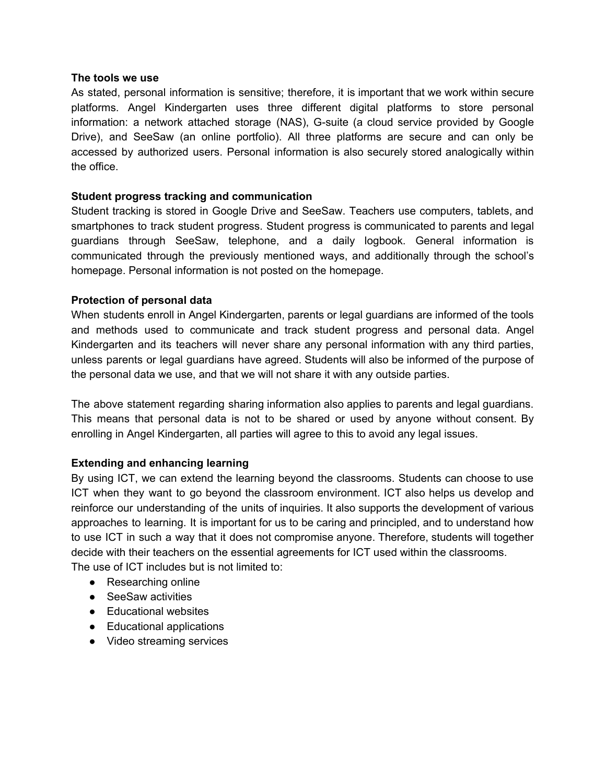#### **The tools we use**

As stated, personal information is sensitive; therefore, it is important that we work within secure platforms. Angel Kindergarten uses three different digital platforms to store personal information: a network attached storage (NAS), G-suite (a cloud service provided by Google Drive), and SeeSaw (an online portfolio). All three platforms are secure and can only be accessed by authorized users. Personal information is also securely stored analogically within the office.

#### **Student progress tracking and communication**

Student tracking is stored in Google Drive and SeeSaw. Teachers use computers, tablets, and smartphones to track student progress. Student progress is communicated to parents and legal guardians through SeeSaw, telephone, and a daily logbook. General information is communicated through the previously mentioned ways, and additionally through the school's homepage. Personal information is not posted on the homepage.

### **Protection of personal data**

When students enroll in Angel Kindergarten, parents or legal guardians are informed of the tools and methods used to communicate and track student progress and personal data. Angel Kindergarten and its teachers will never share any personal information with any third parties, unless parents or legal guardians have agreed. Students will also be informed of the purpose of the personal data we use, and that we will not share it with any outside parties.

The above statement regarding sharing information also applies to parents and legal guardians. This means that personal data is not to be shared or used by anyone without consent. By enrolling in Angel Kindergarten, all parties will agree to this to avoid any legal issues.

# **Extending and enhancing learning**

By using ICT, we can extend the learning beyond the classrooms. Students can choose to use ICT when they want to go beyond the classroom environment. ICT also helps us develop and reinforce our understanding of the units of inquiries. It also supports the development of various approaches to learning. It is important for us to be caring and principled, and to understand how to use ICT in such a way that it does not compromise anyone. Therefore, students will together decide with their teachers on the essential agreements for ICT used within the classrooms. The use of ICT includes but is not limited to:

- Researching online
- SeeSaw activities
- Educational websites
- Educational applications
- Video streaming services